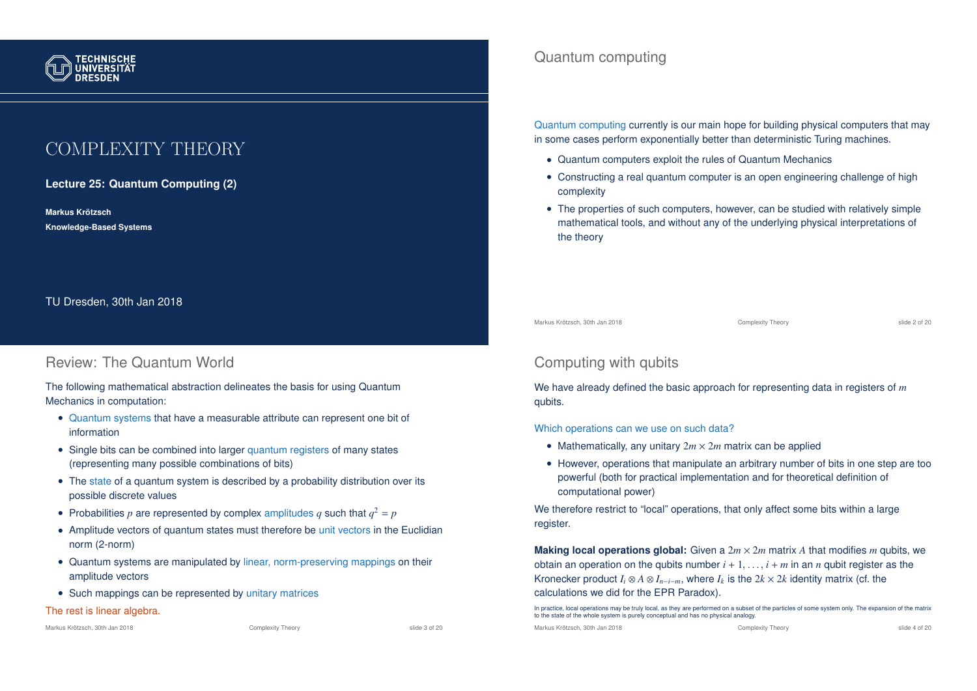

# COMPLEXITY THEORY

**Lecture 25: Quantum Computing (2)**

**Markus Krotzsch ¨ Knowledge-Based Systems**

TU Dresden, 30th Jan 2018

## Review: The Quantum World

The following mathematical abstraction delineates the basis for using Quantum Mechanics in computation:

- Quantum systems that have a measurable attribute can represent one bit of information
- Single bits can be combined into larger quantum registers of many states (representing many possible combinations of bits)
- The state of a quantum system is described by a probability distribution over its possible discrete values
- Probabilities  $p$  are represented by complex amplitudes  $q$  such that  $q^2 = p$
- Amplitude vectors of quantum states must therefore be unit vectors in the Euclidian norm (2-norm)
- Quantum systems are manipulated by linear, norm-preserving mappings on their amplitude vectors
- Such mappings can be represented by unitary matrices

#### The rest is linear algebra.

Markus Krötzsch, 30th Jan 2018 Complexity Theory Complexity Theory Slide 3 of 20

## Quantum computing

Quantum computing currently is our main hope for building physical computers that may in some cases perform exponentially better than deterministic Turing machines.

- Quantum computers exploit the rules of Quantum Mechanics
- Constructing a real quantum computer is an open engineering challenge of high complexity
- The properties of such computers, however, can be studied with relatively simple mathematical tools, and without any of the underlying physical interpretations of the theory

Markus Krötzsch, 30th Jan 2018 Complexity Theory Complexity Theory Slide 2 of 20

# Computing with qubits

We have already defined the basic approach for representing data in registers of *m* qubits.

Which operations can we use on such data?

- Mathematically, any unitary  $2m \times 2m$  matrix can be applied
- However, operations that manipulate an arbitrary number of bits in one step are too powerful (both for practical implementation and for theoretical definition of computational power)

We therefore restrict to "local" operations, that only affect some bits within a large register.

**Making local operations global:** Given a  $2m \times 2m$  matrix A that modifies m gubits, we obtain an operation on the qubits number  $i + 1, \ldots, i + m$  in an *n* qubit register as the Kronecker product  $I_i \otimes A \otimes I_{n-i-m}$ , where  $I_k$  is the  $2k \times 2k$  identity matrix (cf. the calculations we did for the EPR Paradox).

In practice, local operations may be truly local, as they are performed on a subset of the particles of some system only. The expansion of the matrix to the state of the whole system is purely conceptual and has no physical analogy.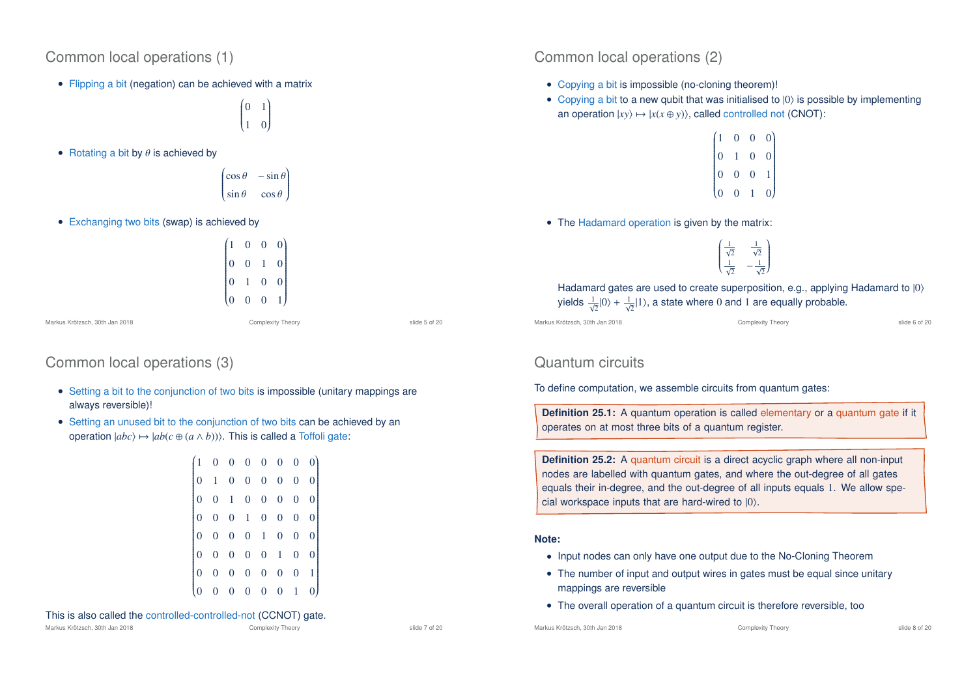## Common local operations (1)

• Flipping a bit (negation) can be achieved with a matrix

 $\begin{pmatrix} 0 & 1 \end{pmatrix}$  $\overline{\phantom{a}}$ 1 0 Í  $\begin{array}{c} \hline \end{array}$ 

• Rotating a bit by  $\theta$  is achieved by

$$
\begin{pmatrix}\n\cos\theta & -\sin\theta \\
\sin\theta & \cos\theta\n\end{pmatrix}
$$

• Exchanging two bits (swap) is achieved by

$$
\begin{pmatrix} 1 & 0 & 0 & 0 \ 0 & 0 & 1 & 0 \ 0 & 1 & 0 & 0 \ 0 & 0 & 0 & 1 \end{pmatrix}
$$

Markus Krötzsch, 30th Jan 2018 Complexity Theory slide 5 of 20

# Common local operations (3)

- Setting a bit to the conjunction of two bits is impossible (unitary mappings are always reversible)!
- Setting an unused bit to the conjunction of two bits can be achieved by an operation  $|abc\rangle \mapsto |ab(c \oplus (a \wedge b))\rangle$ . This is called a Toffoli gate:

|  | $\begin{bmatrix} 1 & 0 & 0 & 0 & 0 & 0 & 0 & 0 \ 0 & 1 & 0 & 0 & 0 & 0 & 0 & 0 \end{bmatrix}$ |                  |             |                                                                      |                |                  |                |  |
|--|-----------------------------------------------------------------------------------------------|------------------|-------------|----------------------------------------------------------------------|----------------|------------------|----------------|--|
|  |                                                                                               |                  |             | $0 \quad 1 \quad 0 \quad 0$                                          | $\mathbf{0}$   | $\overline{0}$   | $\overline{0}$ |  |
|  |                                                                                               |                  |             | $\begin{bmatrix} 0 & 0 & 1 & 0 \end{bmatrix}$                        | $\overline{0}$ | $\overline{0}$   | $\overline{0}$ |  |
|  | $\mathbf{0}$                                                                                  |                  |             |                                                                      | $\overline{0}$ | $\overline{0}$   | $\overline{0}$ |  |
|  | $\mathbf{0}$                                                                                  |                  |             | $\begin{array}{ccc} 0 & 0 & 1 \\ 0 & 0 & 0 \\ 0 & 0 & 0 \end{array}$ | $\bar{1}$      | $\boldsymbol{0}$ | 0              |  |
|  | $\overline{0}$                                                                                |                  |             |                                                                      | 0              | 0                |                |  |
|  |                                                                                               | $\boldsymbol{0}$ | $0 \quad 0$ |                                                                      | $\overline{0}$ |                  |                |  |

#### This is also called the controlled-controlled-not (CCNOT) gate.

Markus Krötzsch, 30th Jan 2018 Complexity Theory Complexity Theory slide 7 of 20

Common local operations (2)

- Copying a bit is impossible (no-cloning theorem)!
- Copying a bit to a new qubit that was initialised to  $|0\rangle$  is possible by implementing an operation  $|xv\rangle \mapsto |x(x \oplus v)\rangle$ , called controlled not (CNOT):

|                                               | $\overline{0}$ | $\overline{0}$ |                                                  |
|-----------------------------------------------|----------------|----------------|--------------------------------------------------|
| $\begin{pmatrix} 1 \ 0 \ 0 \ 0 \end{pmatrix}$ |                | $\overline{0}$ | $\begin{bmatrix} 0 \\ 0 \\ 1 \\ 0 \end{bmatrix}$ |
|                                               | $\overline{0}$ | $\overline{0}$ |                                                  |
|                                               | $\overline{0}$ |                |                                                  |

• The Hadamard operation is given by the matrix:

 $\frac{1}{\sqrt{2}}$  $\overline{\mathcal{C}}$  $\frac{1}{\sqrt{2}}$  $\frac{1}{\sqrt{2}}$   $-\frac{1}{\sqrt{2}}$ Í  $\begin{array}{c} \hline \end{array}$ 

Hadamard gates are used to create superposition, e.g., applying Hadamard to  $|0\rangle$ yields  $\frac{1}{\sqrt{2}}|0\rangle + \frac{1}{\sqrt{2}}|1\rangle$ , a state where 0 and 1 are equally probable.

Markus Krötzsch, 30th Jan 2018 Complexity Theory slide 6 of 20

# Quantum circuits

To define computation, we assemble circuits from quantum gates:

**Definition 25.1:** A quantum operation is called elementary or a quantum gate if it operates on at most three bits of a quantum register.

**Definition 25.2:** A quantum circuit is a direct acyclic graph where all non-input nodes are labelled with quantum gates, and where the out-degree of all gates equals their in-degree, and the out-degree of all inputs equals 1. We allow special workspace inputs that are hard-wired to  $|0\rangle$ .

#### **Note:**

- Input nodes can only have one output due to the No-Cloning Theorem
- The number of input and output wires in gates must be equal since unitary mappings are reversible
- The overall operation of a quantum circuit is therefore reversible, too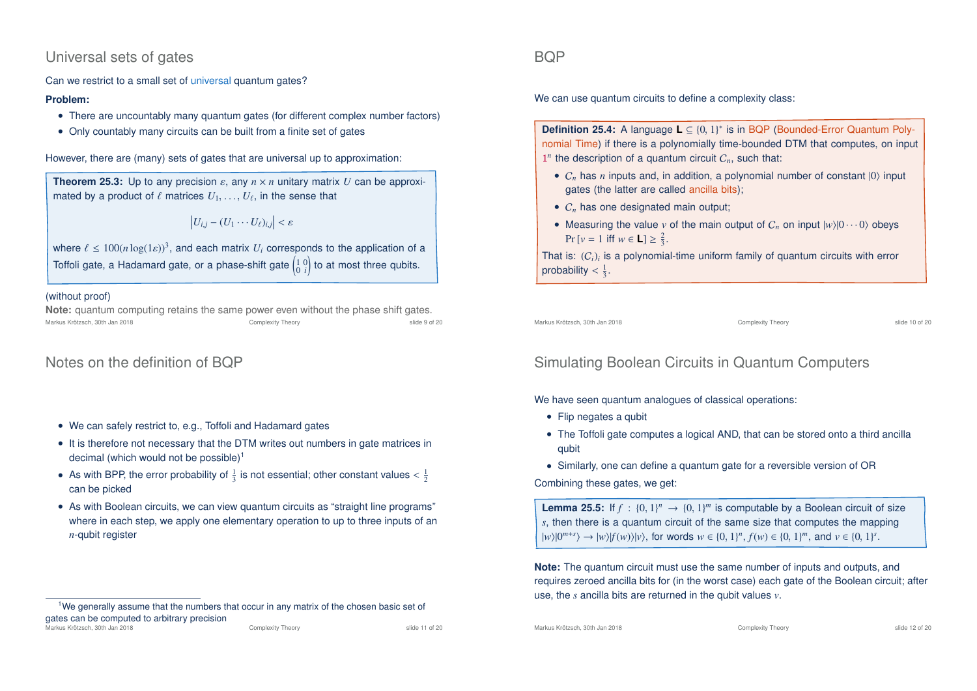## Universal sets of gates

Can we restrict to a small set of universal quantum gates?

#### **Problem:**

- There are uncountably many quantum gates (for different complex number factors)
- Only countably many circuits can be built from a finite set of gates

However, there are (many) sets of gates that are universal up to approximation:

**Theorem 25.3:** Up to any precision  $\varepsilon$ , any  $n \times n$  unitary matrix *U* can be approximated by a product of  $\ell$  matrices  $U_1, \ldots, U_\ell$ , in the sense that

$$
\left|U_{i,j}-(U_1\cdots U_\ell)_{i,j}\right|<\varepsilon
$$

where  $\ell \leq 100(n \log(1 \varepsilon))^3$ , and each matrix  $U_i$  corresponds to the application of a Toffoli gate, a Hadamard gate, or a phase-shift gate  $\left(\begin{smallmatrix} 1 & 0 \ 0 & i\end{smallmatrix}\right)$ ! to at most three qubits.

#### (without proof)

**Note:** quantum computing retains the same power even without the phase shift gates. Markus Krötzsch, 30th Jan 2018 Complexity Theory slide 9 of 20

# Notes on the definition of BQP

- We can safely restrict to, e.g., Toffoli and Hadamard gates
- It is therefore not necessary that the DTM writes out numbers in gate matrices in decimal (which would not be possible)<sup>1</sup>
- As with BPP, the error probability of  $\frac{1}{3}$  is not essential; other constant values  $\langle \frac{1}{2} \rangle$ can be picked
- As with Boolean circuits, we can view quantum circuits as "straight line programs" where in each step, we apply one elementary operation to up to three inputs of an *n*-qubit register

### **BOP**

We can use quantum circuits to define a complexity class:

**Definition 25.4:** A language **L** ⊆ {0, 1}<sup>\*</sup> is in BQP (Bounded-Error Quantum Polynomial Time) if there is a polynomially time-bounded DTM that computes, on input  $1^n$  the description of a quantum circuit  $C_n$ , such that:

- $C_n$  has *n* inputs and, in addition, a polynomial number of constant  $|0\rangle$  input gates (the latter are called ancilla bits);
- $C_n$  has one designated main output;
- Measuring the value *v* of the main output of  $C_n$  on input  $|w\rangle|0\cdots0\rangle$  obeys  $Pr[v = 1 \text{ iff } w \in L] \ge \frac{2}{3}.$

That is: (C*i*)*<sup>i</sup>* is a polynomial-time uniform family of quantum circuits with error probability  $\frac{1}{3}$ .

Markus Krötzsch, 30th Jan 2018 Complexity Theory slide 10 of 20

# Simulating Boolean Circuits in Quantum Computers

We have seen quantum analogues of classical operations:

- Flip negates a qubit
- The Toffoli gate computes a logical AND, that can be stored onto a third ancilla qubit
- Similarly, one can define a quantum gate for a reversible version of OR

Combining these gates, we get:

**Lemma 25.5:** If  $f : \{0, 1\}^n \to \{0, 1\}^m$  is computable by a Boolean circuit of size *s*, then there is a quantum circuit of the same size that computes the mapping  $|w\rangle|0^{m+s}\rangle \to |w\rangle|f(w)\rangle|v\rangle$ , for words  $w \in \{0, 1\}^n$ ,  $f(w) \in \{0, 1\}^m$ , and  $v \in \{0, 1\}^s$ .

**Note:** The quantum circuit must use the same number of inputs and outputs, and requires zeroed ancilla bits for (in the worst case) each gate of the Boolean circuit; after use, the *s* ancilla bits are returned in the qubit values *v*.

 $1$ We generally assume that the numbers that occur in any matrix of the chosen basic set of gates can be computed to arbitrary precision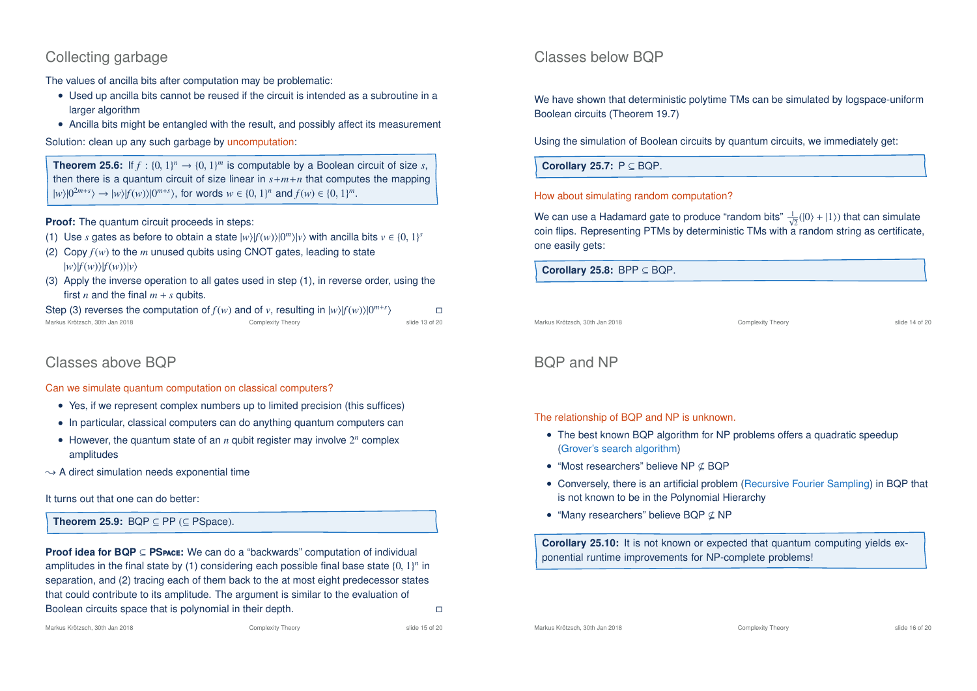## Collecting garbage

The values of ancilla bits after computation may be problematic:

- Used up ancilla bits cannot be reused if the circuit is intended as a subroutine in a larger algorithm
- Ancilla bits might be entangled with the result, and possibly affect its measurement

Solution: clean up any such garbage by uncomputation:

**Theorem 25.6:** If  $f : \{0, 1\}^n \to \{0, 1\}^m$  is computable by a Boolean circuit of size *s*, then there is a quantum circuit of size linear in  $s+m+n$  that computes the mapping  $|w\rangle|0^{2m+s}\rangle \to |w\rangle|f(w)\rangle|0^{m+s}\rangle$ , for words  $w \in \{0, 1\}^n$  and  $f(w) \in \{0, 1\}^m$ .

**Proof:** The quantum circuit proceeds in steps:

- (1) Use *s* gates as before to obtain a state  $|w\rangle|f(w)\rangle|0^m\rangle|v\rangle$  with ancilla bits  $v \in \{0, 1\}^s$
- (2) Copy  $f(w)$  to the *m* unused qubits using CNOT gates, leading to state  $|w\rangle|f(w)\rangle|f(w)\rangle|v\rangle$
- (3) Apply the inverse operation to all gates used in step (1), in reverse order, using the first *n* and the final  $m + s$  qubits.

Step (3) reverses the computation of  $f(w)$  and of  $v$ , resulting in  $|w\rangle |f(w)\rangle |0^{m+s}$  $\rightarrow$ Markus Krötzsch, 30th Jan 2018 Complexity Theory slide 13 of 20

# Classes above BQP

Can we simulate quantum computation on classical computers?

- Yes, if we represent complex numbers up to limited precision (this suffices)
- In particular, classical computers can do anything quantum computers can
- However, the quantum state of an  $n$  qubit register may involve  $2^n$  complex amplitudes
- $\rightarrow$  A direct simulation needs exponential time

It turns out that one can do better:

**Theorem 25.9:** BQP  $\subseteq$  PP ( $\subseteq$  PSpace).

**Proof idea for BQP** ⊆ **PS**pace**:** We can do a "backwards" computation of individual amplitudes in the final state by  $(1)$  considering each possible final base state  $\{0, 1\}^n$  in separation, and (2) tracing each of them back to the at most eight predecessor states that could contribute to its amplitude. The argument is similar to the evaluation of Boolean circuits space that is polynomial in their depth.

## Classes below BQP

We have shown that deterministic polytime TMs can be simulated by logspace-uniform Boolean circuits (Theorem 19.7)

Using the simulation of Boolean circuits by quantum circuits, we immediately get:

**Corollary 25.7:** P ⊆ BQP.

#### How about simulating random computation?

We can use a Hadamard gate to produce "random bits"  $\frac{1}{\sqrt{2}}(\ket{0}+\ket{1})$  that can simulate coin flips. Representing PTMs by deterministic TMs with a random string as certificate, one easily gets:

**Corollary 25.8:** BPP ⊆ BQP.

Markus Krötzsch, 30th Jan 2018 Complexity Theory slide 14 of 20

# BQP and NP

The relationship of BQP and NP is unknown.

- The best known BQP algorithm for NP problems offers a quadratic speedup (Grover's search algorithm)
- "Most researchers" believe NP  $\subset$  BQP
- Conversely, there is an artificial problem (Recursive Fourier Sampling) in BQP that is not known to be in the Polynomial Hierarchy
- "Many researchers" believe BQP  $\nsubseteq$  NP

**Corollary 25.10:** It is not known or expected that quantum computing yields exponential runtime improvements for NP-complete problems!

Markus Krötzsch, 30th Jan 2018 Complexity Theory slide 15 of 20